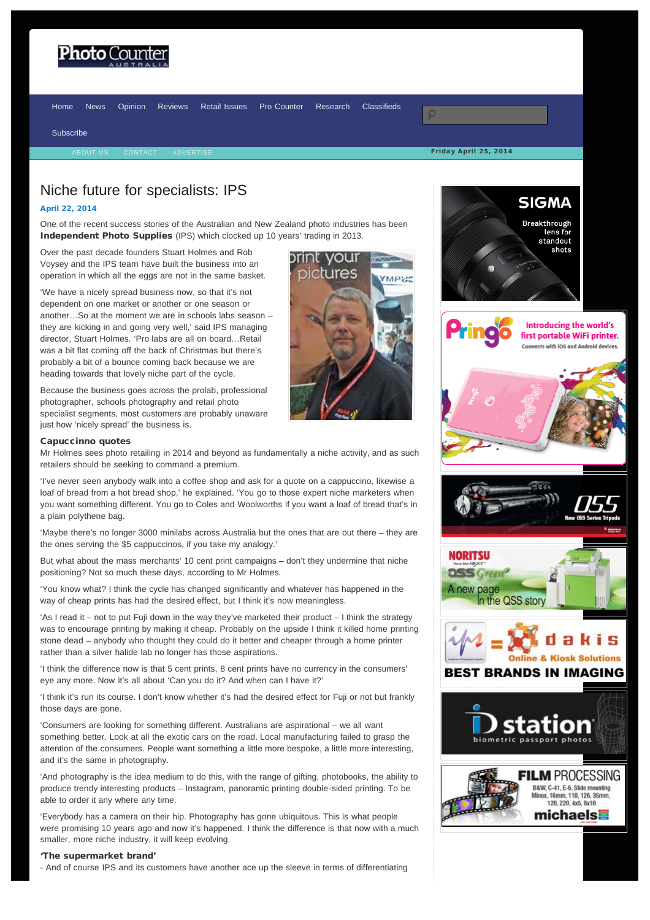## <span id="page-0-0"></span>Photo (

[Home](http://www.photocounter.com.au/) [News](http://www.photocounter.com.au/category/news/) [Opinion](http://www.photocounter.com.au/category/opinion/) [Reviews](http://www.photoreview.com.au/reviews/) [Retail Issues](http://www.photocounter.com.au/category/retail-issues/) [Pro Counter](http://procounter.com.au/) [Research](http://www.photocounter.com.au/category/research/) [Classifieds](http://www.photocounter.com.au/category/classifieds/)

[Subscribe](http://www.photocounter.com.au/subscribe/)

### Friday April 25, 2014

## Niche future for specialists: IPS

### [April 22, 2014](#page-0-0)

One of the recent success stories of the Australian and New Zealand photo industries has been Independent Photo Supplies (IPS) which clocked up 10 years' trading in 2013.

Over the past decade founders Stuart Holmes and Rob Voysey and the IPS team have built the business into an operation in which all the eggs are not in the same basket.

'We have a nicely spread business now, so that it's not dependent on one market or another or one season or another…So at the moment we are in schools labs season – they are kicking in and going very well,' said IPS managing director, Stuart Holmes. 'Pro labs are all on board…Retail was a bit flat coming off the back of Christmas but there's probably a bit of a bounce coming back because we are heading towards that lovely niche part of the cycle.

Because the business goes across the prolab, professional photographer, schools photography and retail photo specialist segments, most customers are probably unaware just how 'nicely spread' the business is.

#### Capuccinno quotes

Mr Holmes sees photo retailing in 2014 and beyond as fundamentally a niche activity, and as such retailers should be seeking to command a premium.

'I've never seen anybody walk into a coffee shop and ask for a quote on a cappuccino, likewise a loaf of bread from a hot bread shop,' he explained. 'You go to those expert niche marketers when you want something different. You go to Coles and Woolworths if you want a loaf of bread that's in a plain polythene bag.

'Maybe there's no longer 3000 minilabs across Australia but the ones that are out there – they are the ones serving the \$5 cappuccinos, if you take my analogy.'

But what about the mass merchants' 10 cent print campaigns – don't they undermine that niche positioning? Not so much these days, according to Mr Holmes.

'You know what? I think the cycle has changed significantly and whatever has happened in the way of cheap prints has had the desired effect, but I think it's now meaningless.

'As I read it – not to put Fuji down in the way they've marketed their product – I think the strategy was to encourage printing by making it cheap. Probably on the upside I think it killed home printing stone dead – anybody who thought they could do it better and cheaper through a home printer rather than a silver halide lab no longer has those aspirations.

'I think the difference now is that 5 cent prints, 8 cent prints have no currency in the consumers' eye any more. Now it's all about 'Can you do it? And when can I have it?'

'I think it's run its course. I don't know whether it's had the desired effect for Fuji or not but frankly those days are gone.

'Consumers are looking for something different. Australians are aspirational – we all want something better. Look at all the exotic cars on the road. Local manufacturing failed to grasp the attention of the consumers. People want something a little more bespoke, a little more interesting, and it's the same in photography.

'And photography is the idea medium to do this, with the range of gifting, photobooks, the ability to produce trendy interesting products – Instagram, panoramic printing double-sided printing. To be able to order it any where any time.

'Everybody has a camera on their hip. Photography has gone ubiquitous. This is what people were promising 10 years ago and now it's happened. I think the difference is that now with a much smaller, more niche industry, it will keep evolving.

### 'The supermarket brand'

- And of course IPS and its customers have another ace up the sleeve in terms of differentiating



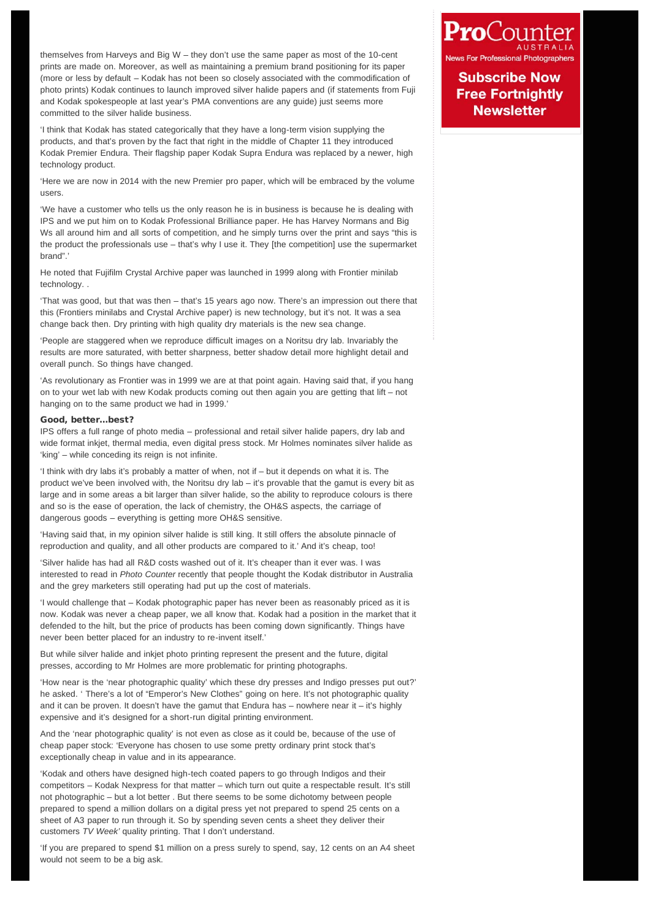themselves from Harveys and Big W – they don't use the same paper as most of the 10-cent prints are made on. Moreover, as well as maintaining a premium brand positioning for its paper (more or less by default – Kodak has not been so closely associated with the commodification of photo prints) Kodak continues to launch improved silver halide papers and (if statements from Fuji and Kodak spokespeople at last year's PMA conventions are any guide) just seems more committed to the silver halide business.

'I think that Kodak has stated categorically that they have a long-term vision supplying the products, and that's proven by the fact that right in the middle of Chapter 11 they introduced Kodak Premier Endura. Their flagship paper Kodak Supra Endura was replaced by a newer, high technology product.

'Here we are now in 2014 with the new Premier pro paper, which will be embraced by the volume users.

'We have a customer who tells us the only reason he is in business is because he is dealing with IPS and we put him on to Kodak Professional Brilliance paper. He has Harvey Normans and Big Ws all around him and all sorts of competition, and he simply turns over the print and says "this is the product the professionals use – that's why I use it. They [the competition] use the supermarket brand".'

He noted that Fujifilm Crystal Archive paper was launched in 1999 along with Frontier minilab technology. .

'That was good, but that was then – that's 15 years ago now. There's an impression out there that this (Frontiers minilabs and Crystal Archive paper) is new technology, but it's not. It was a sea change back then. Dry printing with high quality dry materials is the new sea change.

'People are staggered when we reproduce difficult images on a Noritsu dry lab. Invariably the results are more saturated, with better sharpness, better shadow detail more highlight detail and overall punch. So things have changed.

'As revolutionary as Frontier was in 1999 we are at that point again. Having said that, if you hang on to your wet lab with new Kodak products coming out then again you are getting that lift – not hanging on to the same product we had in 1999.'

### Good, better…best?

IPS offers a full range of photo media – professional and retail silver halide papers, dry lab and wide format inkjet, thermal media, even digital press stock. Mr Holmes nominates silver halide as 'king' – while conceding its reign is not infinite.

'I think with dry labs it's probably a matter of when, not if – but it depends on what it is. The product we've been involved with, the Noritsu dry lab – it's provable that the gamut is every bit as large and in some areas a bit larger than silver halide, so the ability to reproduce colours is there and so is the ease of operation, the lack of chemistry, the OH&S aspects, the carriage of dangerous goods – everything is getting more OH&S sensitive.

'Having said that, in my opinion silver halide is still king. It still offers the absolute pinnacle of reproduction and quality, and all other products are compared to it.' And it's cheap, too!

'Silver halide has had all R&D costs washed out of it. It's cheaper than it ever was. I was interested to read in *Photo Counter* recently that people thought the Kodak distributor in Australia and the grey marketers still operating had put up the cost of materials.

'I would challenge that – Kodak photographic paper has never been as reasonably priced as it is now. Kodak was never a cheap paper, we all know that. Kodak had a position in the market that it defended to the hilt, but the price of products has been coming down significantly. Things have never been better placed for an industry to re-invent itself.'

But while silver halide and inkjet photo printing represent the present and the future, digital presses, according to Mr Holmes are more problematic for printing photographs.

'How near is the 'near photographic quality' which these dry presses and Indigo presses put out?' he asked. ' There's a lot of "Emperor's New Clothes" going on here. It's not photographic quality and it can be proven. It doesn't have the gamut that Endura has  $-$  nowhere near it  $-$  it's highly expensive and it's designed for a short-run digital printing environment.

And the 'near photographic quality' is not even as close as it could be, because of the use of cheap paper stock: 'Everyone has chosen to use some pretty ordinary print stock that's exceptionally cheap in value and in its appearance.

'Kodak and others have designed high-tech coated papers to go through Indigos and their competitors – Kodak Nexpress for that matter – which turn out quite a respectable result. It's still not photographic – but a lot better . But there seems to be some dichotomy between people prepared to spend a million dollars on a digital press yet not prepared to spend 25 cents on a sheet of A3 paper to run through it. So by spending seven cents a sheet they deliver their customers *TV Week'* quality printing. That I don't understand.

'If you are prepared to spend \$1 million on a press surely to spend, say, 12 cents on an A4 sheet would not seem to be a big ask.

# ProCounter

**News For Professional Photogr** 

**Subscribe Now Free Fortnightly Newsletter**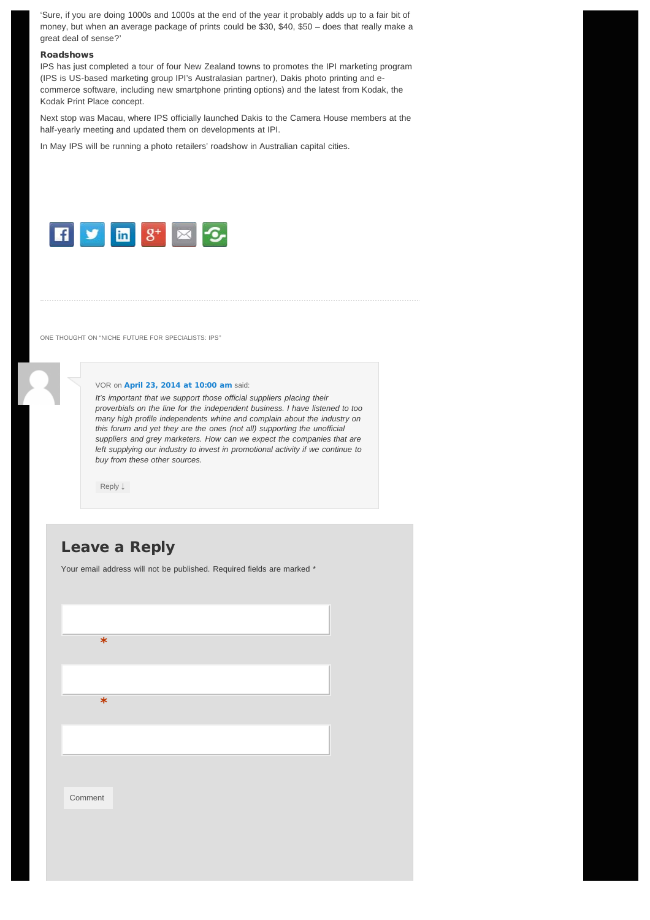'Sure, if you are doing 1000s and 1000s at the end of the year it probably adds up to a fair bit of money, but when an average package of prints could be \$30, \$40, \$50 – does that really make a great deal of sense?'

### Roadshows

IPS has just completed a tour of four New Zealand towns to promotes the IPI marketing program (IPS is US-based marketing group IPI's Australasian partner), Dakis photo printing and ecommerce software, including new smartphone printing options) and the latest from Kodak, the Kodak Print Place concept.

Next stop was Macau, where IPS officially launched Dakis to the Camera House members at the half-yearly meeting and updated them on developments at IPI.

In May IPS will be running a photo retailers' roadshow in Australian capital cities.



<span id="page-2-0"></span>ONE THOUGHT ON "NICHE FUTURE FOR SPECIALISTS: IPS"

### VOR on [April 23, 2014 at 10:00 am](#page-2-0) said:

*It's important that we support those official suppliers placing their proverbials on the line for the independent business. I have listened to too many high profile independents whine and complain about the industry on this forum and yet they are the ones (not all) supporting the unofficial suppliers and grey marketers. How can we expect the companies that are left supplying our industry to invest in promotional activity if we continue to buy from these other sources.*

[Reply](http://www.photocounter.com.au/2014/10764/?replytocom=20376#respond) [↓](http://www.photocounter.com.au/2014/10764/?replytocom=20376#respond)

### Leave a Reply

Your email address will not be published. Required fields are marked \*